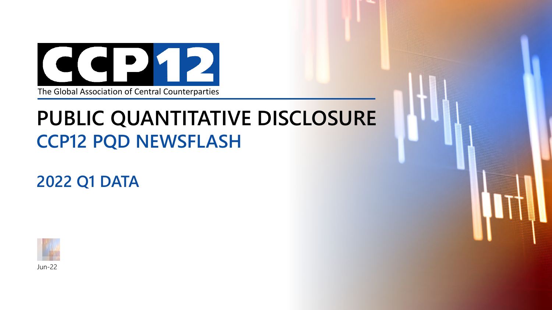

## **PUBLIC QUANTITATIVE DISCLOSURE CCP12 PQD NEWSFLASH**

**2022 Q1 DATA**

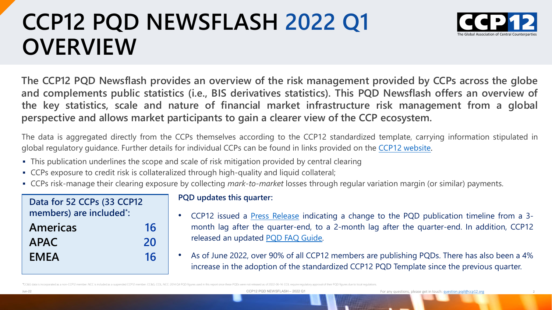# **CCP12 PQD NEWSFLASH 2022 Q1 OVERVIEW**



**The CCP12 PQD Newsflash provides an overview of the risk management provided by CCPs across the globe and complements public statistics (i.e., BIS derivatives statistics). This PQD Newsflash offers an overview of the key statistics, scale and nature of financial market infrastructure risk management from a global perspective and allows market participants to gain a clearer view of the CCP ecosystem.**

The data is aggregated directly from the CCPs themselves according to the CCP12 standardized template, carrying information stipulated in global regulatory guidance. Further details for individual CCPs can be found in links provided on the CCP12 [website](https://ccp12.org/pqd/).

- This publication underlines the scope and scale of risk mitigation provided by central clearing
- CCPs exposure to credit risk is collateralized through high-quality and liquid collateral;
- CCPs risk-manage their clearing exposure by collecting *mark-to-market* losses through regular variation margin (or similar) payments.

| Data for 52 CCPs (33 CCP12<br>members) are included*: |    |
|-------------------------------------------------------|----|
|                                                       |    |
| Americas                                              | 16 |
| <b>APAC</b>                                           | 20 |
| <b>EMEA</b>                                           | 16 |
|                                                       |    |

#### **PQD updates this quarter:**

- CCP12 issued a Press [Release](https://ccp12.org/wp-content/uploads/2022/05/CCP12_PR_PQD_New_Publication_Timeline_Final_20220516_v2.pdf) indicating a change to the PQD publication timeline from a 3 month lag after the quarter-end, to a 2-month lag after the quarter-end. In addition, CCP12 released an updated PQD FAQ [Guide](https://ccp12.org/wp-content/uploads/2022/05/CCP12_PQD_FAQ_Guide_Final_20220516_v1.pdf).
- As of June 2022, over 90% of all CCP12 members are publishing PQDs. There has also been a 4% increase in the adoption of the standardized CCP12 PQD Template since the previous quarter.

<sup>\*</sup> CC&G data is incorporated as a non-CCP12 member. NCC is included as a suspended CCP12 member. CC&G, CCIL, NCC: 2014 Q4 PQD figures used in this report since these PQDs were not released as of 2022-06-14. CCIL require regul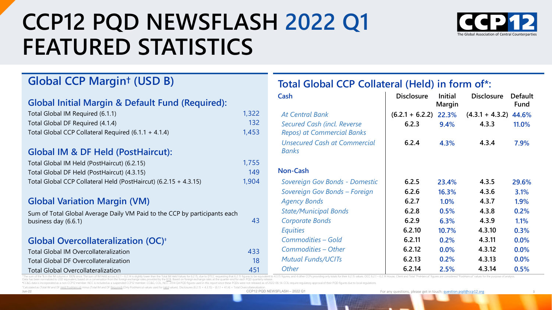# **CCP12 PQD NEWSFLASH 2022 Q1 FEATURED STATISTICS**



3

### **Global CCP Margin† (USD B)**

### **Global Initial Margin & Default Fund (Required):**

| Total Global IM Required (6.1.1)                       | 1,322 |  |  |
|--------------------------------------------------------|-------|--|--|
| Total Global DF Required (4.1.4)                       | 132   |  |  |
| Total Global CCP Collateral Required $(6.1.1 + 4.1.4)$ | 1,453 |  |  |

#### **Global IM & DF Held (PostHaircut):**

| Total Global IM Held (PostHaircut) (6.2.15)                      | 1,755 |
|------------------------------------------------------------------|-------|
| Total Global DF Held (PostHaircut) (4.3.15)                      | 149   |
| Total Global CCP Collateral Held (PostHaircut) (6.2.15 + 4.3.15) | 1.904 |

#### **Global Variation Margin (VM)**

Sum of Total Global Average Daily VM Paid to the CCP by participants each business day (6.6.1) 43

#### **Global Overcollateralization (OC)‡**

| Total Global IM Overcollateralization     | 433 |
|-------------------------------------------|-----|
| Total Global DF Overcollateralization     | 18  |
| <b>Total Global Overcollateralization</b> | 451 |

### **Total Global CCP Collateral (Held) in form of\*:**

| Cash                                                             | <b>Disclosure</b>       | <b>Initial</b><br>Margin | <b>Disclosure</b>       | <b>Default</b><br><b>Fund</b> |
|------------------------------------------------------------------|-------------------------|--------------------------|-------------------------|-------------------------------|
| <b>At Central Bank</b>                                           | $(6.2.1 + 6.2.2)$ 22.3% |                          | $(4.3.1 + 4.3.2)$ 44.6% |                               |
| Secured Cash (incl. Reverse<br><b>Repos) at Commercial Banks</b> | 6.2.3                   | 9.4%                     | 4.3.3                   | 11.0%                         |
| <b>Unsecured Cash at Commercial</b><br><b>Banks</b>              | 6.2.4                   | 4.3%                     | 4.3.4                   | 7.9%                          |
| <b>Non-Cash</b>                                                  |                         |                          |                         |                               |
| Sovereign Gov Bonds - Domestic                                   | 6.2.5                   | 23.4%                    | 4.3.5                   | 29.6%                         |
| Sovereign Gov Bonds - Foreign                                    | 6.2.6                   | 16.3%                    | 4.3.6                   | 3.1%                          |
| <b>Agency Bonds</b>                                              | 6.2.7                   | 1.0%                     | 4.3.7                   | 1.9%                          |
| <b>State/Municipal Bonds</b>                                     | 6.2.8                   | 0.5%                     | 4.3.8                   | 0.2%                          |
| <b>Corporate Bonds</b>                                           | 6.2.9                   | 6.3%                     | 4.3.9                   | 1.1%                          |
| Equities                                                         | 6.2.10                  | 10.7%                    | 4.3.10                  | 0.3%                          |
| Commodities - Gold                                               | 6.2.11                  | 0.2%                     | 4.3.11                  | 0.0%                          |
| Commodities - Other                                              | 6.2.12                  | 0.0%                     | 4.3.12                  | 0.0%                          |
| <b>Mutual Funds/UCITs</b>                                        | 6.2.13                  | 0.2%                     | 4.3.13                  | 0.0%                          |
| <b>Other</b>                                                     | 6.2.14                  | 2.5%                     | 4.3.14                  | 0.5%                          |

\*The sum of the % in the IM column ≠ 100% since: The sum of IM Held across 6.2.1 – 6.2.14 is slightly lower than the Total IM Held Values for 6.2.15, due to DTCC requesting that 6.2.15 figures; and 4 other CCPs providing o

Data has been normalized to USD equivalent, based on a conversation from the foreign exchange rates provided by the [ECB.](https://www.ecb.europa.eu/stats/policy_and_exchange_rates/euro_reference_exchange_rates/html/index.en.html) Based on foreign exchange rates at the quarter-end for each PQD quarterly release. † report since these PODs were not released as of 2022-06-14 CCII

<sup>‡</sup>Calculated as (Total IM and DE Held Po Calculated as (Total IM and DF Held PostHaircut) minus (Total IM and DF Required) (Only PostHaircut values used for Held values). Disclosures (6.2.15 + 4.3.15) – (6.1.1 + 4.1.4) = Total Overcollateralization.

Jun-22 CCP12 PQD NEWSFLASH – 2022 Q1

For any questions, please get in touch: [question.pqd@ccp12.org](mailto:question.pqd@ccp12.org)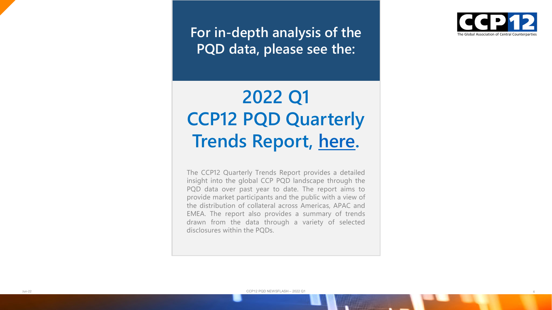**For in -depth analysis of the PQD data, please see the:**

## **2022 Q1 CCP12 PQD Quarterly Trends Report, [here](https://ccp12.org/wp-content/uploads/2022/06/CCP12_PQD_QTR_TRENDS_REPORT_2022Q1_FINAL_20220614_v1.pdf) .**

The CCP12 Quarterly Trends Report provides a detailed insight into the global CCP PQD landscape through the PQD data over past year to date . The report aims to provide market participants and the public with a view of the distribution of collateral across Americas, APAC and EMEA . The report also provides a summary of trends drawn from the data through a variety of selected disclosures within the PQDs .



4

CCP12 PQD NEWSFLASH – 2022 Q1